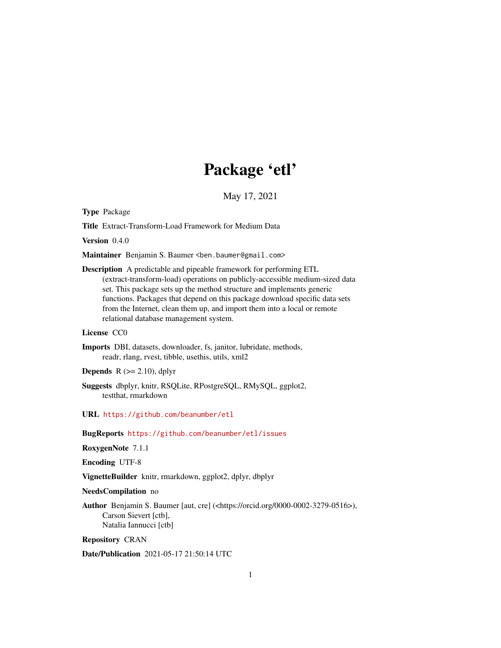## Package 'etl'

May 17, 2021

<span id="page-0-0"></span>Type Package

Title Extract-Transform-Load Framework for Medium Data

Version 0.4.0

Maintainer Benjamin S. Baumer <ben.baumer@gmail.com>

Description A predictable and pipeable framework for performing ETL (extract-transform-load) operations on publicly-accessible medium-sized data set. This package sets up the method structure and implements generic functions. Packages that depend on this package download specific data sets from the Internet, clean them up, and import them into a local or remote relational database management system.

#### License CC0

Imports DBI, datasets, downloader, fs, janitor, lubridate, methods, readr, rlang, rvest, tibble, usethis, utils, xml2

**Depends**  $R$  ( $>= 2.10$ ), dplyr

Suggests dbplyr, knitr, RSQLite, RPostgreSQL, RMySQL, ggplot2, testthat, rmarkdown

URL <https://github.com/beanumber/etl>

BugReports <https://github.com/beanumber/etl/issues>

RoxygenNote 7.1.1

Encoding UTF-8

VignetteBuilder knitr, rmarkdown, ggplot2, dplyr, dbplyr

#### NeedsCompilation no

Author Benjamin S. Baumer [aut, cre] (<https://orcid.org/0000-0002-3279-0516>), Carson Sievert [ctb], Natalia Iannucci [ctb]

Repository CRAN

Date/Publication 2021-05-17 21:50:14 UTC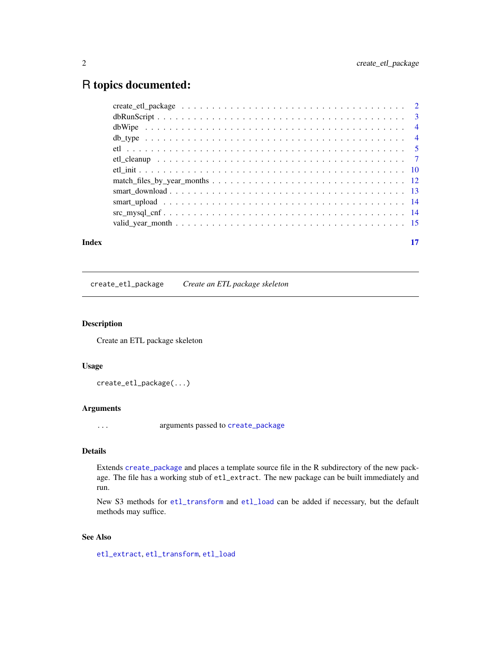## <span id="page-1-0"></span>R topics documented:

| Index | 17 |
|-------|----|
|       |    |
|       |    |
|       |    |
|       |    |
|       |    |
|       |    |
|       |    |
|       |    |
|       |    |
|       |    |
|       |    |
|       |    |

create\_etl\_package *Create an ETL package skeleton*

## Description

Create an ETL package skeleton

## Usage

create\_etl\_package(...)

#### Arguments

... arguments passed to [create\\_package](#page-0-0)

## Details

Extends [create\\_package](#page-0-0) and places a template source file in the R subdirectory of the new package. The file has a working stub of etl\_extract. The new package can be built immediately and run.

New S3 methods for [etl\\_transform](#page-6-1) and [etl\\_load](#page-6-1) can be added if necessary, but the default methods may suffice.

## See Also

[etl\\_extract](#page-6-1), [etl\\_transform](#page-6-1), [etl\\_load](#page-6-1)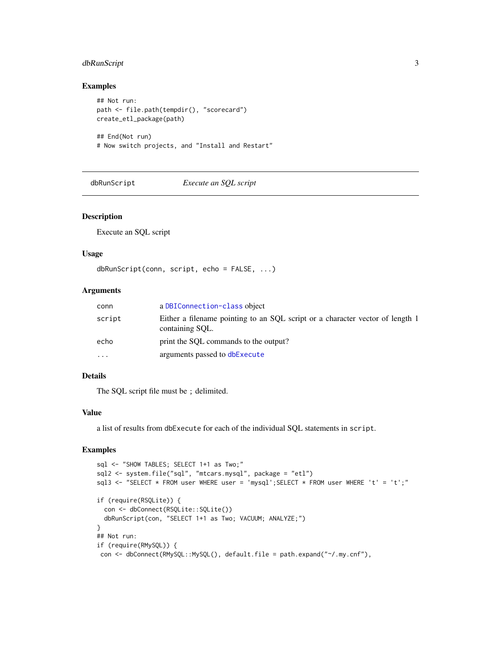## <span id="page-2-0"></span>dbRunScript 3

### Examples

```
## Not run:
path <- file.path(tempdir(), "scorecard")
create_etl_package(path)
## End(Not run)
# Now switch projects, and "Install and Restart"
```
dbRunScript *Execute an SQL script*

#### Description

Execute an SQL script

#### Usage

dbRunScript(conn, script, echo = FALSE, ...)

#### Arguments

| conn      | a DBI Connection-class object                                                                    |
|-----------|--------------------------------------------------------------------------------------------------|
| script    | Either a filename pointing to an SQL script or a character vector of length 1<br>containing SOL. |
| echo      | print the SOL commands to the output?                                                            |
| $\ddotsc$ | arguments passed to dbExecute                                                                    |

## Details

The SQL script file must be ; delimited.

#### Value

a list of results from dbExecute for each of the individual SQL statements in script.

```
sql <- "SHOW TABLES; SELECT 1+1 as Two;"
sql2 <- system.file("sql", "mtcars.mysql", package = "etl")
sql3 <- "SELECT * FROM user WHERE user = 'mysql';SELECT * FROM user WHERE 't' = 't';"
if (require(RSQLite)) {
  con <- dbConnect(RSQLite::SQLite())
  dbRunScript(con, "SELECT 1+1 as Two; VACUUM; ANALYZE;")
}
## Not run:
if (require(RMySQL)) {
con <- dbConnect(RMySQL::MySQL(), default.file = path.expand("~/.my.cnf"),
```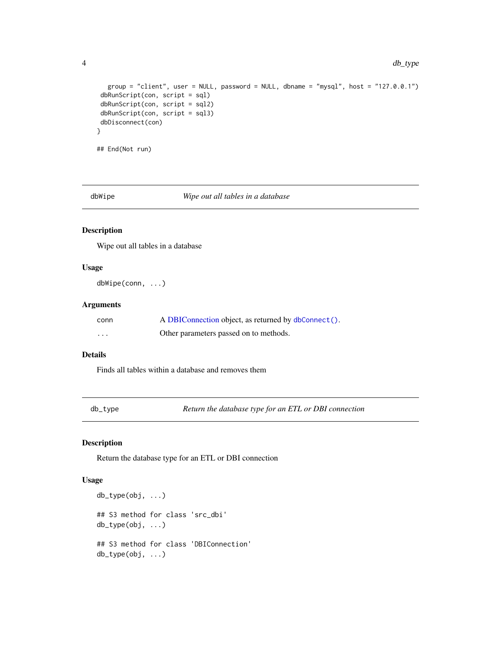```
group = "client", user = NULL, password = NULL, dbname = "mysql", host = "127.0.0.1")
dbRunScript(con, script = sql)
dbRunScript(con, script = sql2)
dbRunScript(con, script = sql3)
dbDisconnect(con)
}
## End(Not run)
```
dbWipe *Wipe out all tables in a database*

#### Description

Wipe out all tables in a database

## Usage

dbWipe(conn, ...)

#### Arguments

| conn     | A DBIConnection object, as returned by dbConnect(). |
|----------|-----------------------------------------------------|
| $\cdots$ | Other parameters passed on to methods.              |

## Details

Finds all tables within a database and removes them

db\_type *Return the database type for an ETL or DBI connection*

#### Description

Return the database type for an ETL or DBI connection

```
db_type(obj, ...)
## S3 method for class 'src_dbi'
db_type(obj, ...)
## S3 method for class 'DBIConnection'
db_type(obj, ...)
```
<span id="page-3-0"></span>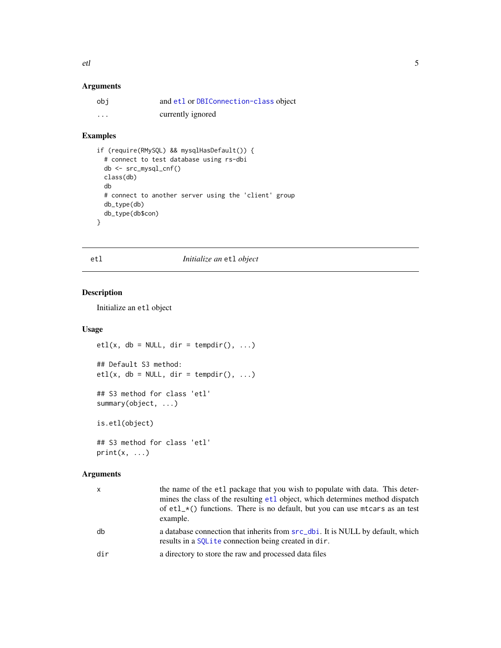## <span id="page-4-0"></span>Arguments

| obi      | and etl or DBIConnection-class object |
|----------|---------------------------------------|
| $\cdots$ | currently ignored                     |

## Examples

```
if (require(RMySQL) && mysqlHasDefault()) {
 # connect to test database using rs-dbi
 db <- src_mysql_cnf()
 class(db)
 db
 # connect to another server using the 'client' group
 db_type(db)
 db_type(db$con)
}
```
#### <span id="page-4-1"></span>etl *Initialize an* etl *object*

## <span id="page-4-2"></span>Description

Initialize an etl object

#### Usage

```
etl(x, db = NULL, dir = tempdir(), ...)## Default S3 method:
etl(x, db = NULL, dir = tempdir(), ...)
```
## S3 method for class 'etl' summary(object, ...)

is.etl(object)

## S3 method for class 'etl'  $print(x, \ldots)$ 

#### Arguments

| $\mathsf{x}$ | the name of the etl package that you wish to populate with data. This deter-<br>mines the class of the resulting et1 object, which determines method dispatch<br>of $etl_{\mathcal{A}}$ functions. There is no default, but you can use mtcars as an test<br>example. |
|--------------|-----------------------------------------------------------------------------------------------------------------------------------------------------------------------------------------------------------------------------------------------------------------------|
| db           | a database connection that inherits from src_dbi. It is NULL by default, which<br>results in a SOL ite connection being created in dir.                                                                                                                               |
| dir          | a directory to store the raw and processed data files                                                                                                                                                                                                                 |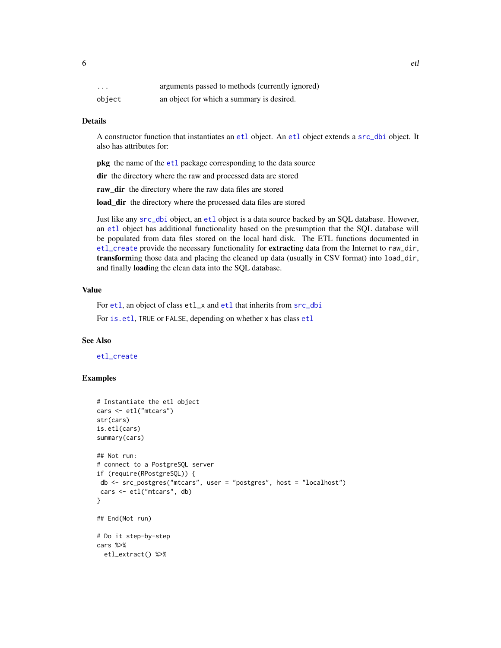<span id="page-5-0"></span>

| .      | arguments passed to methods (currently ignored) |
|--------|-------------------------------------------------|
| object | an object for which a summary is desired.       |

#### Details

A constructor function that instantiates an [etl](#page-4-1) object. An [etl](#page-4-1) object extends a [src\\_dbi](#page-0-0) object. It also has attributes for:

pkg the name of the [etl](#page-4-1) package corresponding to the data source

dir the directory where the raw and processed data are stored

raw\_dir the directory where the raw data files are stored

load\_dir the directory where the processed data files are stored

Just like any [src\\_dbi](#page-0-0) object, an [etl](#page-4-1) object is a data source backed by an SQL database. However, an [etl](#page-4-1) object has additional functionality based on the presumption that the SQL database will be populated from data files stored on the local hard disk. The ETL functions documented in [etl\\_create](#page-6-1) provide the necessary functionality for extracting data from the Internet to raw\_dir, transforming those data and placing the cleaned up data (usually in CSV format) into load\_dir, and finally loading the clean data into the SQL database.

#### Value

For [etl](#page-4-1), an object of class etl\_x and [etl](#page-4-1) that inherits from [src\\_dbi](#page-0-0)

For [is.etl](#page-4-2), TRUE or FALSE, depending on whether x has class [etl](#page-4-1)

#### See Also

[etl\\_create](#page-6-1)

```
# Instantiate the etl object
cars <- etl("mtcars")
str(cars)
is.etl(cars)
summary(cars)
## Not run:
# connect to a PostgreSQL server
if (require(RPostgreSQL)) {
db <- src_postgres("mtcars", user = "postgres", host = "localhost")
cars <- etl("mtcars", db)
}
## End(Not run)
# Do it step-by-step
cars %>%
 etl_extract() %>%
```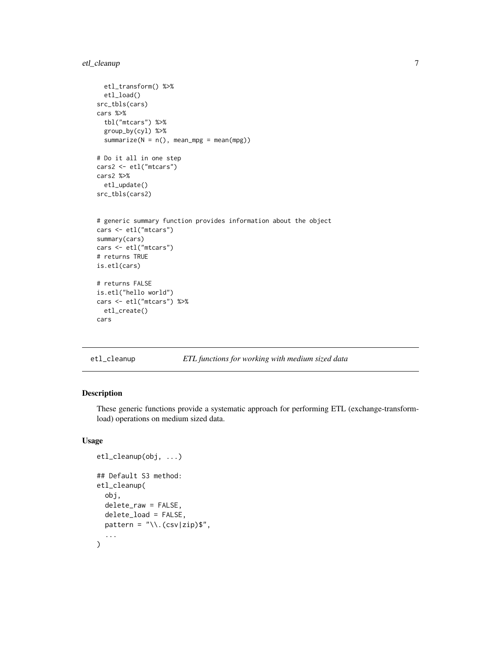## <span id="page-6-0"></span>etl\_cleanup 7

```
etl_transform() %>%
  etl_load()
src_tbls(cars)
cars %>%
  tbl("mtcars") %>%
  group_by(cyl) %>%
  summarize(N = n(), mean_mpg = mean(mpg))
# Do it all in one step
cars2 <- etl("mtcars")
cars2 %>%
  etl_update()
src_tbls(cars2)
# generic summary function provides information about the object
cars <- etl("mtcars")
summary(cars)
cars <- etl("mtcars")
# returns TRUE
is.etl(cars)
# returns FALSE
is.etl("hello world")
cars <- etl("mtcars") %>%
  etl_create()
cars
```
#### etl\_cleanup *ETL functions for working with medium sized data*

#### <span id="page-6-1"></span>Description

These generic functions provide a systematic approach for performing ETL (exchange-transformload) operations on medium sized data.

```
etl_cleanup(obj, ...)
## Default S3 method:
etl_cleanup(
  obj,
  delete_raw = FALSE,
  delete_load = FALSE,
 pattern = "\wedge. (csv|zip)$",
  ...
)
```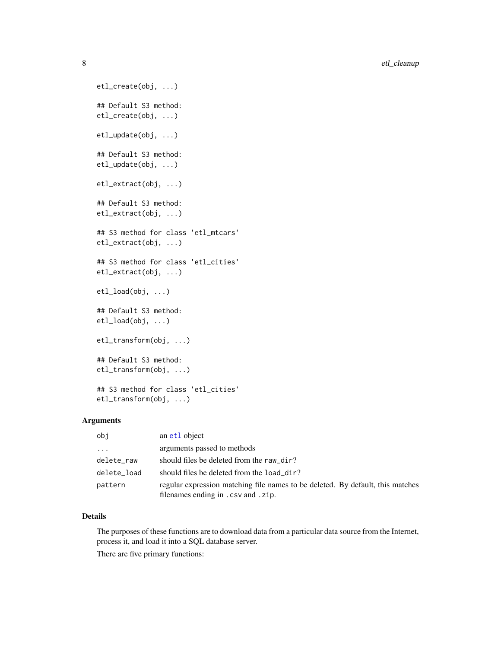<span id="page-7-0"></span>8 etl\_cleanup

```
etl_create(obj, ...)
## Default S3 method:
etl_create(obj, ...)
etl_update(obj, ...)
## Default S3 method:
etl_update(obj, ...)
etl_extract(obj, ...)
## Default S3 method:
etl_extract(obj, ...)
## S3 method for class 'etl_mtcars'
etl_extract(obj, ...)
## S3 method for class 'etl_cities'
etl_extract(obj, ...)
etl_load(obj, ...)
## Default S3 method:
etl_load(obj, ...)
etl_transform(obj, ...)
## Default S3 method:
etl_transform(obj, ...)
## S3 method for class 'etl_cities'
```
#### Arguments

| obi         | an et1 object                                                                                                        |
|-------------|----------------------------------------------------------------------------------------------------------------------|
| $\cdot$     | arguments passed to methods                                                                                          |
| delete_raw  | should files be deleted from the raw_dir?                                                                            |
| delete load | should files be deleted from the load_dir?                                                                           |
| pattern     | regular expression matching file names to be deleted. By default, this matches<br>filenames ending in .csv and .zip. |

#### Details

The purposes of these functions are to download data from a particular data source from the Internet, process it, and load it into a SQL database server.

There are five primary functions:

etl\_transform(obj, ...)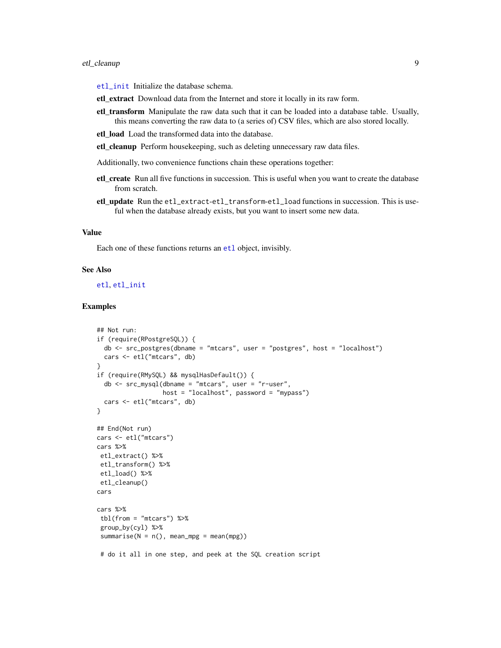#### <span id="page-8-0"></span>etl\_cleanup 9

- [etl\\_init](#page-9-1) Initialize the database schema.
- etl\_extract Download data from the Internet and store it locally in its raw form.
- etl\_transform Manipulate the raw data such that it can be loaded into a database table. Usually, this means converting the raw data to (a series of) CSV files, which are also stored locally.
- etl\_load Load the transformed data into the database.
- etl\_cleanup Perform housekeeping, such as deleting unnecessary raw data files.

Additionally, two convenience functions chain these operations together:

- etl\_create Run all five functions in succession. This is useful when you want to create the database from scratch.
- etl\_update Run the etl\_extract-etl\_transform-etl\_load functions in succession. This is useful when the database already exists, but you want to insert some new data.

## Value

Each one of these functions returns an [etl](#page-4-1) object, invisibly.

#### See Also

[etl](#page-4-1), [etl\\_init](#page-9-1)

```
## Not run:
if (require(RPostgreSQL)) {
 db <- src_postgres(dbname = "mtcars", user = "postgres", host = "localhost")
 cars <- etl("mtcars", db)
}
if (require(RMySQL) && mysqlHasDefault()) {
 db <- src_mysql(dbname = "mtcars", user = "r-user",
                  host = "localhost", password = "mypass")
 cars <- etl("mtcars", db)
}
## End(Not run)
cars <- etl("mtcars")
cars %>%
etl_extract() %>%
etl_transform() %>%
etl_load() %>%
etl_cleanup()
cars
cars %>%
 tbl(from = "mtcars") %>%
group_by(cyl) %>%
summarise(N = n(), mean_mpg = mean(mpg))
 # do it all in one step, and peek at the SQL creation script
```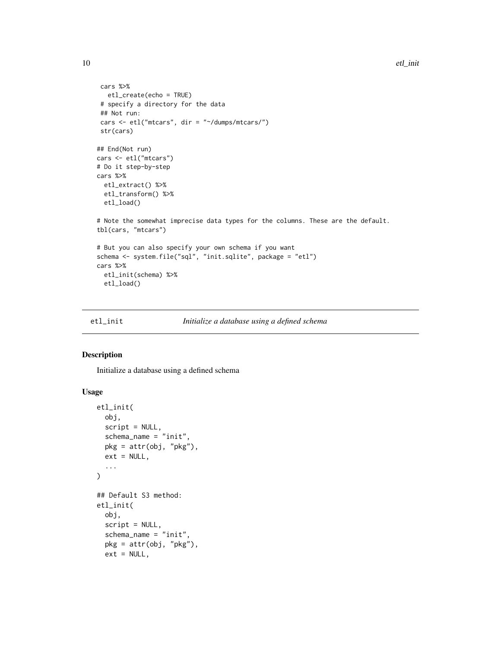```
cars %>%
  etl_create(echo = TRUE)
 # specify a directory for the data
 ## Not run:
 cars <- etl("mtcars", dir = "~/dumps/mtcars/")
 str(cars)
## End(Not run)
cars <- etl("mtcars")
# Do it step-by-step
cars %>%
  etl_extract() %>%
  etl_transform() %>%
  etl_load()
# Note the somewhat imprecise data types for the columns. These are the default.
tbl(cars, "mtcars")
# But you can also specify your own schema if you want
schema <- system.file("sql", "init.sqlite", package = "etl")
cars %>%
  etl_init(schema) %>%
  etl_load()
```
<span id="page-9-1"></span>

etl\_init *Initialize a database using a defined schema*

#### <span id="page-9-2"></span>Description

Initialize a database using a defined schema

```
etl_init(
  obj,
  script = NULL,schema_name = "init",
 pkg = attr(obj, "pkg"),ext = NULL,...
)
## Default S3 method:
etl_init(
  obj,
  script = NULL,schema_name = "init",
  pkg = attr(obj, "pkg"),
  ext = NULL,
```
<span id="page-9-0"></span>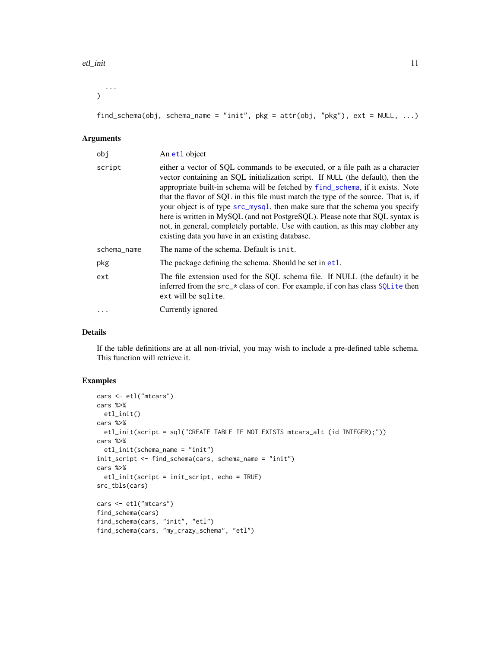```
...
\mathcal{L}
```
find\_schema(obj, schema\_name = "init",  $pkg = attr(obj, "pkg"), ext = NULL, ...$ )

#### Arguments

| obi         | An et1 object                                                                                                                                                                                                                                                                                                                                                                                                                                                                                                                                                                                                                                   |
|-------------|-------------------------------------------------------------------------------------------------------------------------------------------------------------------------------------------------------------------------------------------------------------------------------------------------------------------------------------------------------------------------------------------------------------------------------------------------------------------------------------------------------------------------------------------------------------------------------------------------------------------------------------------------|
| script      | either a vector of SQL commands to be executed, or a file path as a character<br>vector containing an SQL initialization script. If NULL (the default), then the<br>appropriate built-in schema will be fetched by find_schema, if it exists. Note<br>that the flavor of SQL in this file must match the type of the source. That is, if<br>your object is of type src_mysql, then make sure that the schema you specify<br>here is written in MySQL (and not PostgreSQL). Please note that SQL syntax is<br>not, in general, completely portable. Use with caution, as this may clobber any<br>existing data you have in an existing database. |
| schema_name | The name of the schema. Default is init.                                                                                                                                                                                                                                                                                                                                                                                                                                                                                                                                                                                                        |
| pkg         | The package defining the schema. Should be set in et1.                                                                                                                                                                                                                                                                                                                                                                                                                                                                                                                                                                                          |
| ext         | The file extension used for the SQL schema file. If NULL (the default) it be<br>inferred from the $src\_\star$ class of con. For example, if con has class $SQL$ ite then<br>ext will be sqlite.                                                                                                                                                                                                                                                                                                                                                                                                                                                |
| .           | Currently ignored                                                                                                                                                                                                                                                                                                                                                                                                                                                                                                                                                                                                                               |

## Details

If the table definitions are at all non-trivial, you may wish to include a pre-defined table schema. This function will retrieve it.

```
cars <- etl("mtcars")
cars %>%
  etl_init()
cars %>%
  etl_init(script = sql("CREATE TABLE IF NOT EXISTS mtcars_alt (id INTEGER);"))
cars %>%
  etl_init(schema_name = "init")
init_script <- find_schema(cars, schema_name = "init")
cars %>%
  etl_init(script = init_script, echo = TRUE)
src_tbls(cars)
cars <- etl("mtcars")
find_schema(cars)
find_schema(cars, "init", "etl")
find_schema(cars, "my_crazy_schema", "etl")
```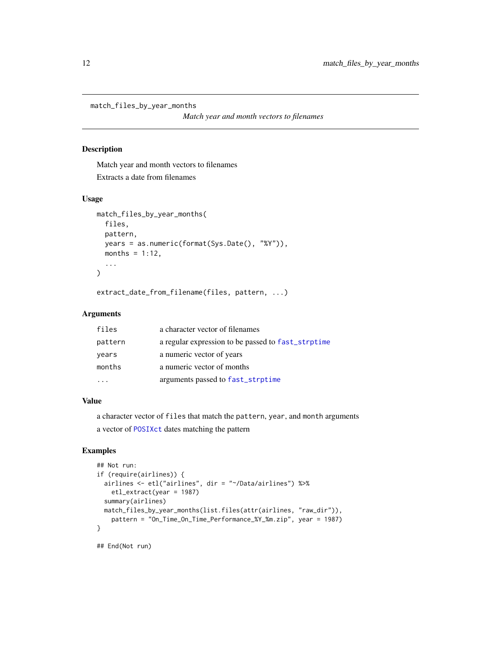<span id="page-11-0"></span>match\_files\_by\_year\_months

*Match year and month vectors to filenames*

## Description

Match year and month vectors to filenames Extracts a date from filenames

#### Usage

```
match_files_by_year_months(
  files,
 pattern,
 years = as.numeric(format(Sys.Date(), "%Y")),
 months = 1:12,
  ...
)
```

```
extract_date_from_filename(files, pattern, ...)
```
#### Arguments

| files   | a character vector of filenames                    |
|---------|----------------------------------------------------|
| pattern | a regular expression to be passed to fast_strptime |
| years   | a numeric vector of years                          |
| months  | a numeric vector of months                         |
|         | arguments passed to fast_strptime                  |

## Value

a character vector of files that match the pattern, year, and month arguments

a vector of [POSIXct](#page-0-0) dates matching the pattern

## Examples

```
## Not run:
if (require(airlines)) {
 airlines <- etl("airlines", dir = "~/Data/airlines") %>%
   etl_extract(year = 1987)
 summary(airlines)
 match_files_by_year_months(list.files(attr(airlines, "raw_dir")),
   pattern = "On_Time_On_Time_Performance_%Y_%m.zip", year = 1987)
}
```
## End(Not run)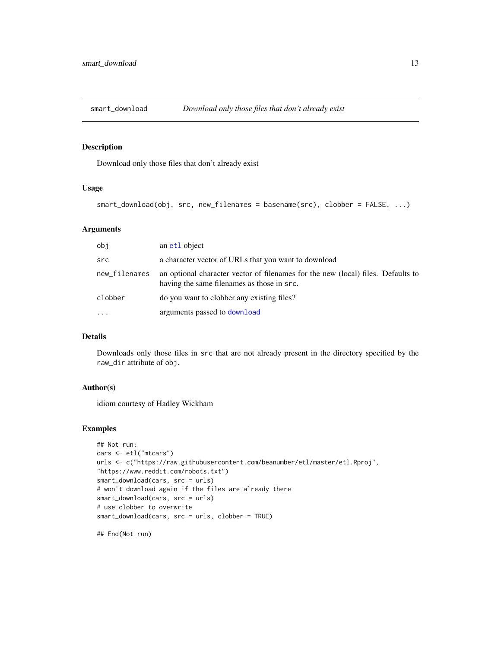<span id="page-12-0"></span>

#### Description

Download only those files that don't already exist

## Usage

```
smart_download(obj, src, new_filenames = basename(src), clobber = FALSE, ...)
```
## Arguments

| obj           | an et1 object                                                                                                                  |
|---------------|--------------------------------------------------------------------------------------------------------------------------------|
| src           | a character vector of URLs that you want to download                                                                           |
| new_filenames | an optional character vector of filenames for the new (local) files. Defaults to<br>having the same filenames as those in src. |
| clobber       | do you want to clobber any existing files?                                                                                     |
| $\cdots$      | arguments passed to download                                                                                                   |

#### Details

Downloads only those files in src that are not already present in the directory specified by the raw\_dir attribute of obj.

## Author(s)

idiom courtesy of Hadley Wickham

#### Examples

```
## Not run:
cars <- etl("mtcars")
urls <- c("https://raw.githubusercontent.com/beanumber/etl/master/etl.Rproj",
"https://www.reddit.com/robots.txt")
smart_download(cars, src = urls)
# won't download again if the files are already there
smart_download(cars, src = urls)
# use clobber to overwrite
smart_download(cars, src = urls, clobber = TRUE)
```
## End(Not run)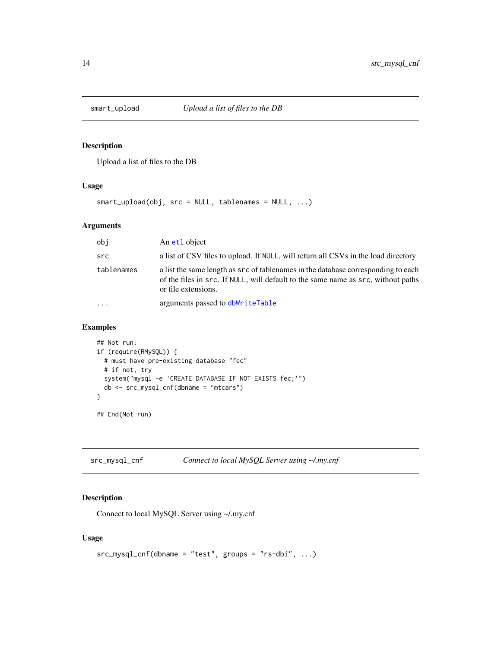<span id="page-13-0"></span>

#### Description

Upload a list of files to the DB

#### Usage

smart\_upload(obj, src = NULL, tablenames = NULL, ...)

#### Arguments

| obj        | An et1 object                                                                                                                                                                                 |
|------------|-----------------------------------------------------------------------------------------------------------------------------------------------------------------------------------------------|
| src        | a list of CSV files to upload. If NULL, will return all CSVs in the load directory                                                                                                            |
| tablenames | a list the same length as src of tablenames in the database corresponding to each<br>of the files in src. If NULL, will default to the same name as src, without paths<br>or file extensions. |
| $\cdots$   | arguments passed to dbWriteTable                                                                                                                                                              |

## Examples

```
## Not run:
if (require(RMySQL)) {
  # must have pre-existing database "fec"
 # if not, try
 system("mysql -e 'CREATE DATABASE IF NOT EXISTS fec;'")
  db <- src_mysql_cnf(dbname = "mtcars")
}
```
## End(Not run)

| src_mysql_cnf | Connect to local MySQL Server using ~/.my.cnf |
|---------------|-----------------------------------------------|
|---------------|-----------------------------------------------|

## Description

Connect to local MySQL Server using ~/.my.cnf

```
src_mysql_cnf(dbname = "test", groups = "rs-dbi", ...)
```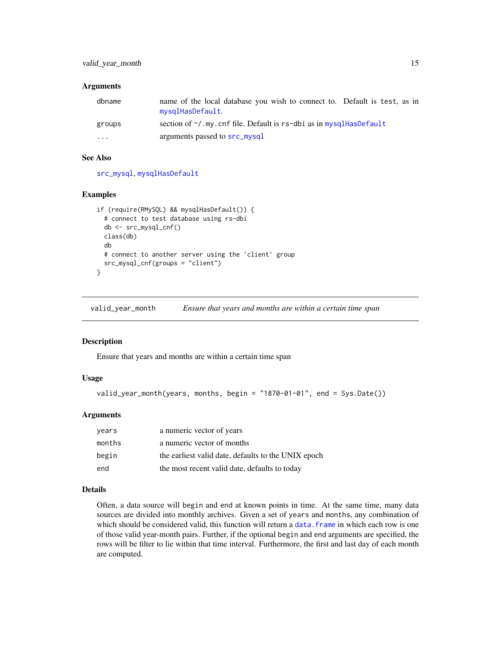#### <span id="page-14-0"></span>**Arguments**

| dbname                  | name of the local database you wish to connect to. Default is test, as in<br>mysqlHasDefault. |  |
|-------------------------|-----------------------------------------------------------------------------------------------|--|
| groups                  | section of $\gamma$ , my, cnf file. Default is $rs$ -dbi as in mysqlHasDefault                |  |
| $\cdot$ $\cdot$ $\cdot$ | arguments passed to src_mysql                                                                 |  |

## See Also

[src\\_mysql](#page-0-0), [mysqlHasDefault](#page-0-0)

## Examples

```
if (require(RMySQL) && mysqlHasDefault()) {
 # connect to test database using rs-dbi
 db <- src_mysql_cnf()
 class(db)
 db
 # connect to another server using the 'client' group
 src_mysql_cnf(groups = "client")
}
```
valid\_year\_month *Ensure that years and months are within a certain time span*

#### Description

Ensure that years and months are within a certain time span

#### Usage

```
valid_year_month(years, months, begin = "1870-01-01", end = Sys.Date())
```
## Arguments

| vears  | a numeric vector of years                           |
|--------|-----------------------------------------------------|
| months | a numeric vector of months                          |
| begin  | the earliest valid date, defaults to the UNIX epoch |
| end    | the most recent valid date, defaults to today       |

#### Details

Often, a data source will begin and end at known points in time. At the same time, many data sources are divided into monthly archives. Given a set of years and months, any combination of which should be considered valid, this function will return a data. frame in which each row is one of those valid year-month pairs. Further, if the optional begin and end arguments are specified, the rows will be filter to lie within that time interval. Furthermore, the first and last day of each month are computed.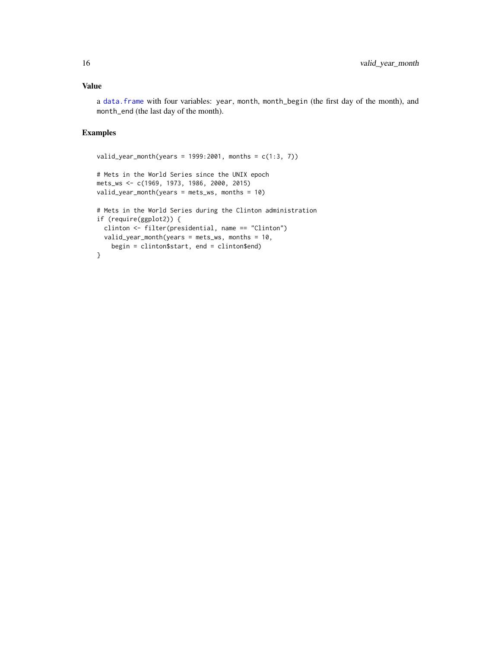## <span id="page-15-0"></span>Value

a [data.frame](#page-0-0) with four variables: year, month, month\_begin (the first day of the month), and month\_end (the last day of the month).

```
valid_year_month(years = 1999:2001, months = c(1:3, 7))
# Mets in the World Series since the UNIX epoch
mets_ws <- c(1969, 1973, 1986, 2000, 2015)
valid_year_month(years = mets_ws, months = 10)
# Mets in the World Series during the Clinton administration
if (require(ggplot2)) {
  clinton <- filter(presidential, name == "Clinton")
  valid_year_month(years = mets_ws, months = 10,
   begin = clinton$start, end = clinton$end)
}
```